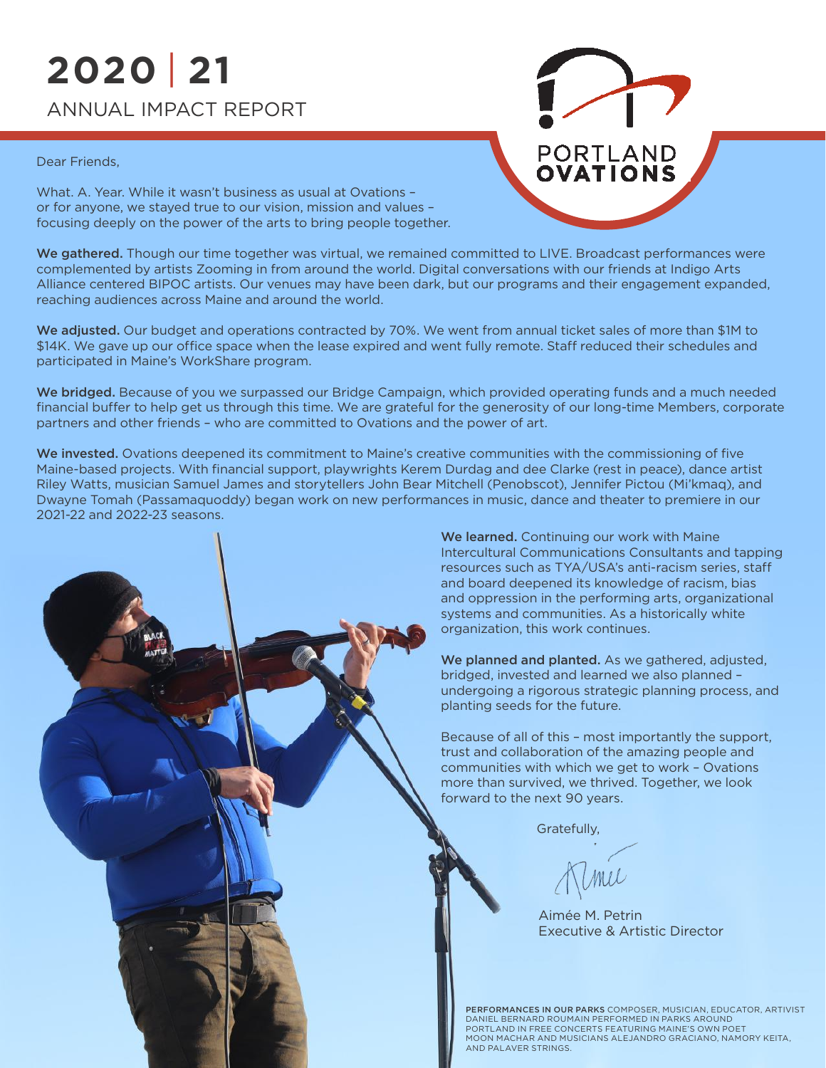### **2020 21** | ANNUAL IMPACT REPORT

#### Dear Friends,

What. A. Year. While it wasn't business as usual at Ovations – or for anyone, we stayed true to our vision, mission and values – focusing deeply on the power of the arts to bring people together.

We gathered. Though our time together was virtual, we remained committed to LIVE. Broadcast performances were complemented by artists Zooming in from around the world. Digital conversations with our friends at Indigo Arts Alliance centered BIPOC artists. Our venues may have been dark, but our programs and their engagement expanded, reaching audiences across Maine and around the world.

We adjusted. Our budget and operations contracted by 70%. We went from annual ticket sales of more than \$1M to \$14K. We gave up our office space when the lease expired and went fully remote. Staff reduced their schedules and participated in Maine's WorkShare program.

We bridged. Because of you we surpassed our Bridge Campaign, which provided operating funds and a much needed financial buffer to help get us through this time. We are grateful for the generosity of our long-time Members, corporate partners and other friends – who are committed to Ovations and the power of art.

We invested. Ovations deepened its commitment to Maine's creative communities with the commissioning of five Maine-based projects. With financial support, playwrights Kerem Durdag and dee Clarke (rest in peace), dance artist Riley Watts, musician Samuel James and storytellers John Bear Mitchell (Penobscot), Jennifer Pictou (Mi'kmaq), and Dwayne Tomah (Passamaquoddy) began work on new performances in music, dance and theater to premiere in our 2021-22 and 2022-23 seasons.

> We learned. Continuing our work with Maine Intercultural Communications Consultants and tapping resources such as TYA/USA's anti-racism series, staff and board deepened its knowledge of racism, bias and oppression in the performing arts, organizational systems and communities. As a historically white organization, this work continues.

**PORTLAND**<br>**OVATIONS** 

We planned and planted. As we gathered, adjusted, bridged, invested and learned we also planned – undergoing a rigorous strategic planning process, and planting seeds for the future.

Because of all of this – most importantly the support, trust and collaboration of the amazing people and communities with which we get to work – Ovations more than survived, we thrived. Together, we look forward to the next 90 years.

Gratefully,

Aimée M. Petrin Executive & Artistic Director

PERFORMANCES IN OUR PARKS COMPOSER, MUSICIAN, EDUCATOR, ARTIVIST DANIEL BERNARD ROUMAIN PERFORMED IN PARKS AROUND PORTLAND IN FREE CONCERTS FEATURING MAINE'S OWN POET MOON MACHAR AND MUSICIANS ALEJANDRO GRACIANO, NAMORY KEITA,<br>AND PALAVER STRINGS.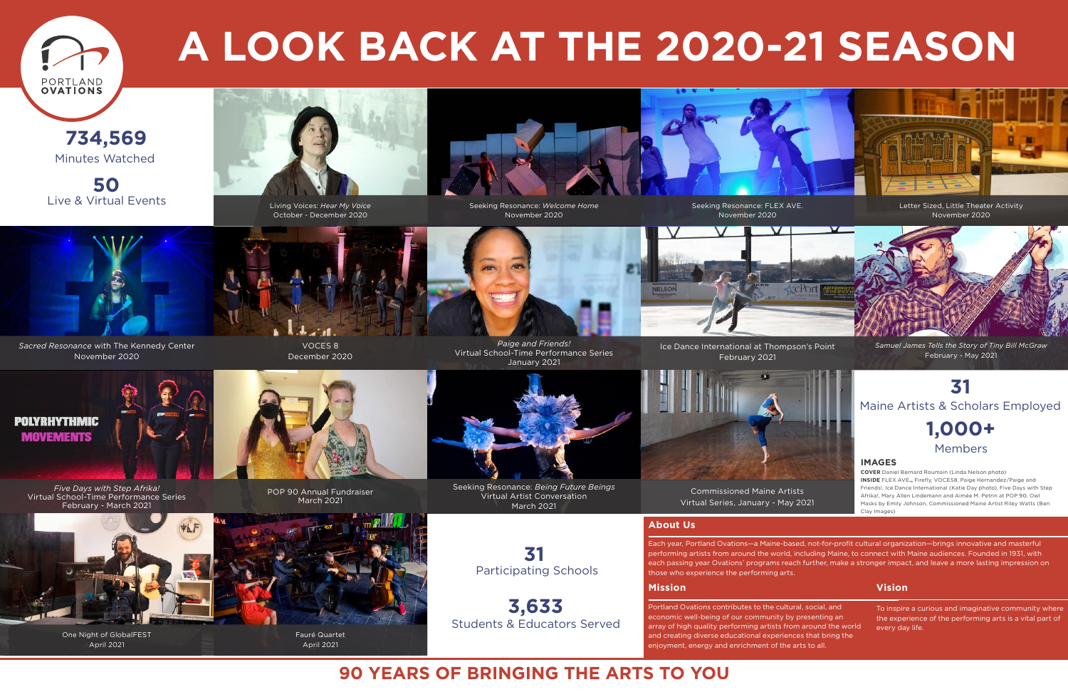

*Sacred Resonance* with The Kennedy Center November 2020



VOCES 8 December 2020

*Paige and Friends!*  Virtual School-Time Performance Series January 2021

> Each year, Portland Ovations—a Maine-based, not-for-profit cultural organization—brings innovative and masterful performing artists from around the world, including Maine, to connect with Maine audiences. Founded in 1931, with each passing year Ovations' programs reach further, make a stronger impact, and leave a more lasting impression on those who experience the performing arts.

### **About Us**

To inspire a curious and imaginative community where the experience of the performing arts is a vital part of every day life.

#### **Mission Vision**

Portland Ovations contributes to the cultural, social, and economic well-being of our community by presenting an array of high quality performing artists from around the world and creating diverse educational experiences that bring the enjoyment, energy and enrichment of the arts to all.

### **POLYRHYTHMIC MOVEMENTS**

**50** Live & Virtual Events **Seeking Resonance: Hear My Voice** Seeking Resonance: Welcome Home Seeking Resonance: FLEX AVE.





# **A LOOK BACK AT THE 2020-21 SEASON**

### **90 YEARS OF BRINGING THE ARTS TO YOU**



#### **IMAGES**

**COVER** Daniel Bernard Roumain (Linda Nelson photo) **INSIDE** FLEX AVE**.,** Firefly, VOCES8, Paige Hernandez/Paige and Friends!, Ice Dance International (Katie Day photo), Five Days with Step Afrika!, Mary Allen Lindemann and Aimée M. Petrin at POP 90, Owl Masks by Emily Johnson, Commissioned Maine Artist Riley Watts (Ben Clay Images)



Ice Dance International at Thompson's Point February 2021



Commissioned Maine Artists Virtual Series, January - May 2021

Seeking Resonance: *Welcome Home*





Seeking Resonance: *Being Future Beings* Virtual Artist Conversation March 2021

*Five Days with Step Afrika!* Virtual School-Time Performance Series February - March 2021



One Night of GlobalFEST April 2021

**734,569** Minutes Watched

> Students & Educators Served **3,633**

Participating Schools **31**

November 2020

Letter Sized, Little Theater Activity November 2020



### **31** Maine Artists & Scholars Employed **1,000+** Members

Living Voices: *Hear My Voice* October - December 2020





April 2021

*Samuel James Tells the Story of Tiny Bill McGraw* February - May 2021